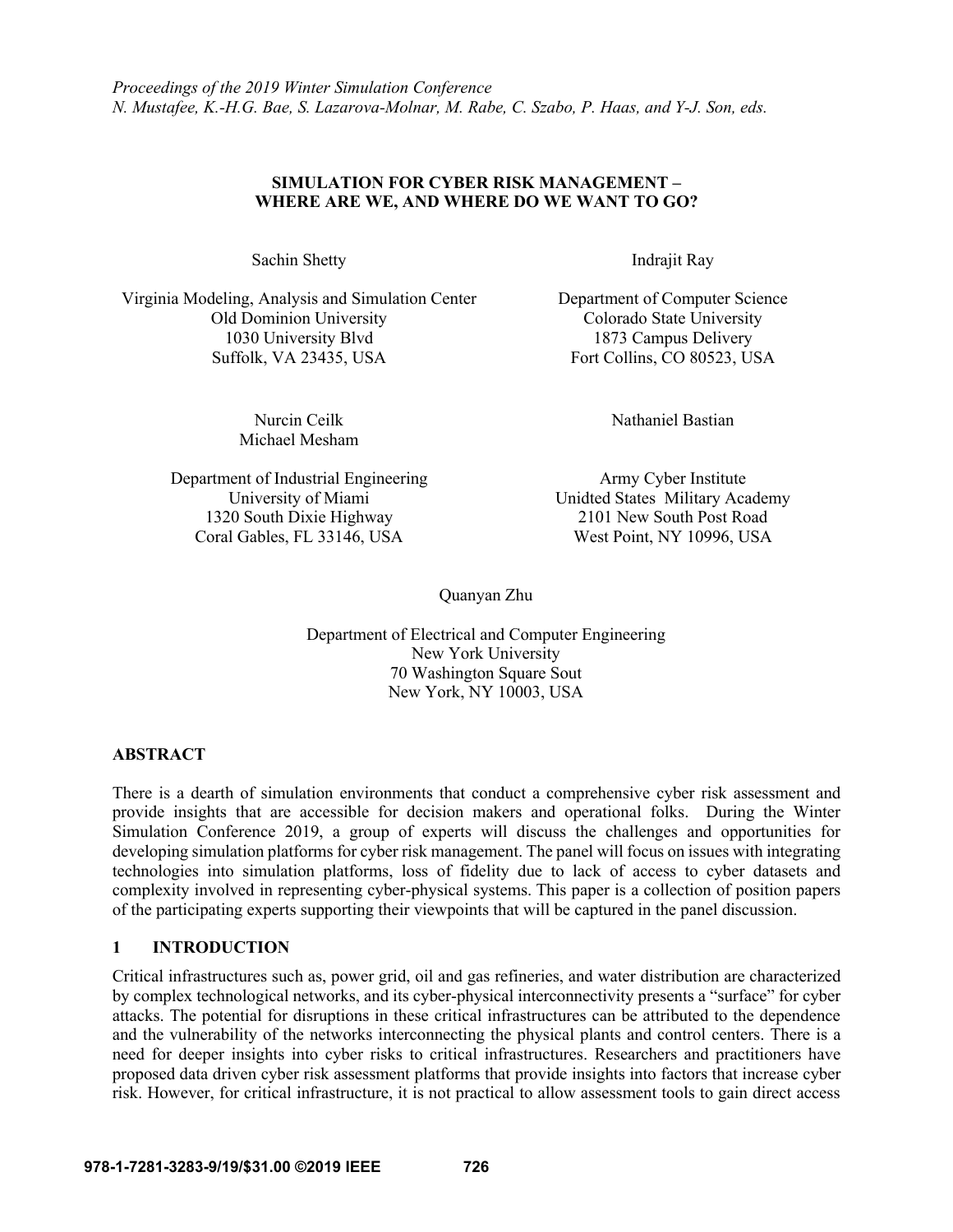# **SIMULATION FOR CYBER RISK MANAGEMENT – WHERE ARE WE, AND WHERE DO WE WANT TO GO?**

Sachin Shetty Indrajit Ray

Virginia Modeling, Analysis and Simulation Center Department of Computer Science Old Dominion University Colorado State University 1030 University Blvd 1873 Campus Delivery Suffolk, VA 23435, USA Fort Collins, CO 80523, USA

> Nurcin Ceilk Michael Mesham

Department of Industrial Engineering Army Cyber Institute 1320 South Dixie Highway 2101 New South Post Road Coral Gables, FL 33146, USA West Point, NY 10996, USA

Nathaniel Bastian

University of Miami Unidted States Military Academy

Quanyan Zhu

Department of Electrical and Computer Engineering New York University 70 Washington Square Sout New York, NY 10003, USA

## **ABSTRACT**

There is a dearth of simulation environments that conduct a comprehensive cyber risk assessment and provide insights that are accessible for decision makers and operational folks. During the Winter Simulation Conference 2019, a group of experts will discuss the challenges and opportunities for developing simulation platforms for cyber risk management. The panel will focus on issues with integrating technologies into simulation platforms, loss of fidelity due to lack of access to cyber datasets and complexity involved in representing cyber-physical systems. This paper is a collection of position papers of the participating experts supporting their viewpoints that will be captured in the panel discussion.

# **1 INTRODUCTION**

Critical infrastructures such as, power grid, oil and gas refineries, and water distribution are characterized by complex technological networks, and its cyber-physical interconnectivity presents a "surface" for cyber attacks. The potential for disruptions in these critical infrastructures can be attributed to the dependence and the vulnerability of the networks interconnecting the physical plants and control centers. There is a need for deeper insights into cyber risks to critical infrastructures. Researchers and practitioners have proposed data driven cyber risk assessment platforms that provide insights into factors that increase cyber risk. However, for critical infrastructure, it is not practical to allow assessment tools to gain direct access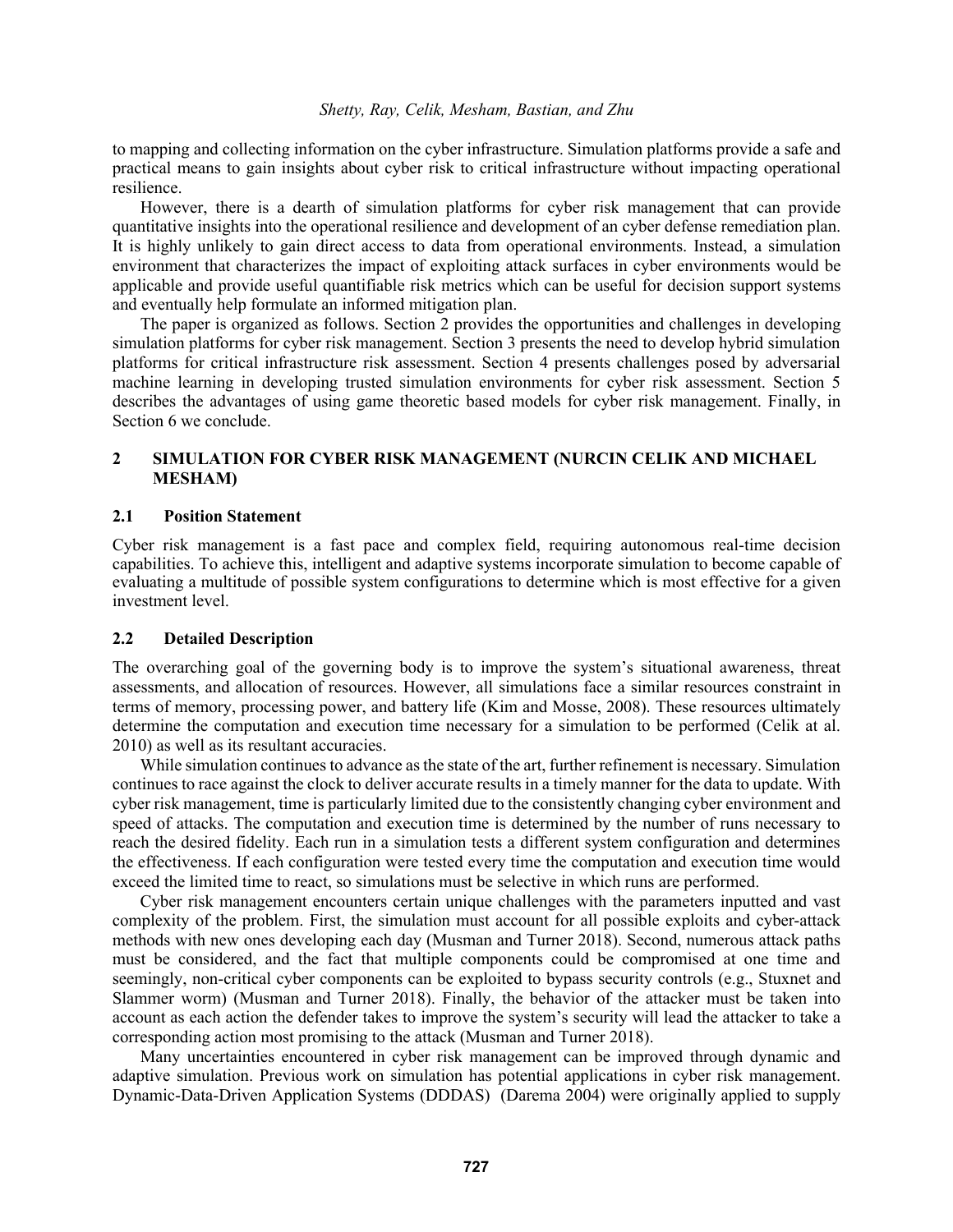to mapping and collecting information on the cyber infrastructure. Simulation platforms provide a safe and practical means to gain insights about cyber risk to critical infrastructure without impacting operational resilience.

However, there is a dearth of simulation platforms for cyber risk management that can provide quantitative insights into the operational resilience and development of an cyber defense remediation plan. It is highly unlikely to gain direct access to data from operational environments. Instead, a simulation environment that characterizes the impact of exploiting attack surfaces in cyber environments would be applicable and provide useful quantifiable risk metrics which can be useful for decision support systems and eventually help formulate an informed mitigation plan.

The paper is organized as follows. Section 2 provides the opportunities and challenges in developing simulation platforms for cyber risk management. Section 3 presents the need to develop hybrid simulation platforms for critical infrastructure risk assessment. Section 4 presents challenges posed by adversarial machine learning in developing trusted simulation environments for cyber risk assessment. Section 5 describes the advantages of using game theoretic based models for cyber risk management. Finally, in Section 6 we conclude.

## **2 SIMULATION FOR CYBER RISK MANAGEMENT (NURCIN CELIK AND MICHAEL MESHAM)**

### **2.1 Position Statement**

Cyber risk management is a fast pace and complex field, requiring autonomous real-time decision capabilities. To achieve this, intelligent and adaptive systems incorporate simulation to become capable of evaluating a multitude of possible system configurations to determine which is most effective for a given investment level.

### **2.2 Detailed Description**

The overarching goal of the governing body is to improve the system's situational awareness, threat assessments, and allocation of resources. However, all simulations face a similar resources constraint in terms of memory, processing power, and battery life (Kim and Mosse, 2008). These resources ultimately determine the computation and execution time necessary for a simulation to be performed (Celik at al. 2010) as well as its resultant accuracies.

While simulation continues to advance as the state of the art, further refinement is necessary. Simulation continues to race against the clock to deliver accurate results in a timely manner for the data to update. With cyber risk management, time is particularly limited due to the consistently changing cyber environment and speed of attacks. The computation and execution time is determined by the number of runs necessary to reach the desired fidelity. Each run in a simulation tests a different system configuration and determines the effectiveness. If each configuration were tested every time the computation and execution time would exceed the limited time to react, so simulations must be selective in which runs are performed.

Cyber risk management encounters certain unique challenges with the parameters inputted and vast complexity of the problem. First, the simulation must account for all possible exploits and cyber-attack methods with new ones developing each day (Musman and Turner 2018). Second, numerous attack paths must be considered, and the fact that multiple components could be compromised at one time and seemingly, non-critical cyber components can be exploited to bypass security controls (e.g., Stuxnet and Slammer worm) (Musman and Turner 2018). Finally, the behavior of the attacker must be taken into account as each action the defender takes to improve the system's security will lead the attacker to take a corresponding action most promising to the attack (Musman and Turner 2018).

Many uncertainties encountered in cyber risk management can be improved through dynamic and adaptive simulation. Previous work on simulation has potential applications in cyber risk management. Dynamic-Data-Driven Application Systems (DDDAS) (Darema 2004) were originally applied to supply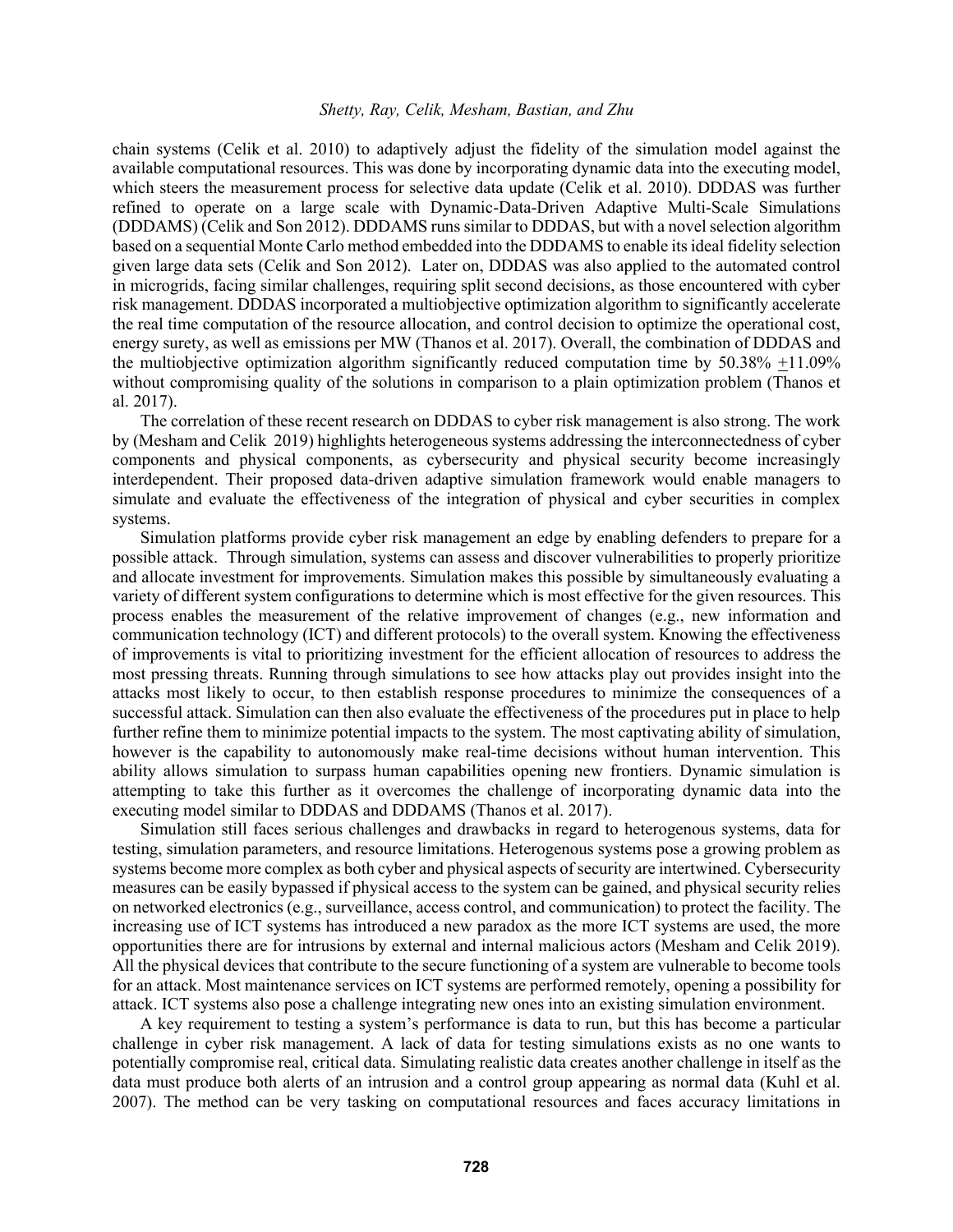chain systems (Celik et al. 2010) to adaptively adjust the fidelity of the simulation model against the available computational resources. This was done by incorporating dynamic data into the executing model, which steers the measurement process for selective data update (Celik et al. 2010). DDDAS was further refined to operate on a large scale with Dynamic-Data-Driven Adaptive Multi-Scale Simulations (DDDAMS) (Celik and Son 2012). DDDAMS runs similar to DDDAS, but with a novel selection algorithm based on a sequential Monte Carlo method embedded into the DDDAMS to enable its ideal fidelity selection given large data sets (Celik and Son 2012). Later on, DDDAS was also applied to the automated control in microgrids, facing similar challenges, requiring split second decisions, as those encountered with cyber risk management. DDDAS incorporated a multiobjective optimization algorithm to significantly accelerate the real time computation of the resource allocation, and control decision to optimize the operational cost, energy surety, as well as emissions per MW (Thanos et al. 2017). Overall, the combination of DDDAS and the multiobjective optimization algorithm significantly reduced computation time by 50.38% +11.09% without compromising quality of the solutions in comparison to a plain optimization problem (Thanos et al. 2017).

The correlation of these recent research on DDDAS to cyber risk management is also strong. The work by (Mesham and Celik 2019) highlights heterogeneous systems addressing the interconnectedness of cyber components and physical components, as cybersecurity and physical security become increasingly interdependent. Their proposed data-driven adaptive simulation framework would enable managers to simulate and evaluate the effectiveness of the integration of physical and cyber securities in complex systems.

Simulation platforms provide cyber risk management an edge by enabling defenders to prepare for a possible attack. Through simulation, systems can assess and discover vulnerabilities to properly prioritize and allocate investment for improvements. Simulation makes this possible by simultaneously evaluating a variety of different system configurations to determine which is most effective for the given resources. This process enables the measurement of the relative improvement of changes (e.g., new information and communication technology (ICT) and different protocols) to the overall system. Knowing the effectiveness of improvements is vital to prioritizing investment for the efficient allocation of resources to address the most pressing threats. Running through simulations to see how attacks play out provides insight into the attacks most likely to occur, to then establish response procedures to minimize the consequences of a successful attack. Simulation can then also evaluate the effectiveness of the procedures put in place to help further refine them to minimize potential impacts to the system. The most captivating ability of simulation, however is the capability to autonomously make real-time decisions without human intervention. This ability allows simulation to surpass human capabilities opening new frontiers. Dynamic simulation is attempting to take this further as it overcomes the challenge of incorporating dynamic data into the executing model similar to DDDAS and DDDAMS (Thanos et al. 2017).

Simulation still faces serious challenges and drawbacks in regard to heterogenous systems, data for testing, simulation parameters, and resource limitations. Heterogenous systems pose a growing problem as systems become more complex as both cyber and physical aspects of security are intertwined. Cybersecurity measures can be easily bypassed if physical access to the system can be gained, and physical security relies on networked electronics (e.g., surveillance, access control, and communication) to protect the facility. The increasing use of ICT systems has introduced a new paradox as the more ICT systems are used, the more opportunities there are for intrusions by external and internal malicious actors (Mesham and Celik 2019). All the physical devices that contribute to the secure functioning of a system are vulnerable to become tools for an attack. Most maintenance services on ICT systems are performed remotely, opening a possibility for attack. ICT systems also pose a challenge integrating new ones into an existing simulation environment.

A key requirement to testing a system's performance is data to run, but this has become a particular challenge in cyber risk management. A lack of data for testing simulations exists as no one wants to potentially compromise real, critical data. Simulating realistic data creates another challenge in itself as the data must produce both alerts of an intrusion and a control group appearing as normal data (Kuhl et al. 2007). The method can be very tasking on computational resources and faces accuracy limitations in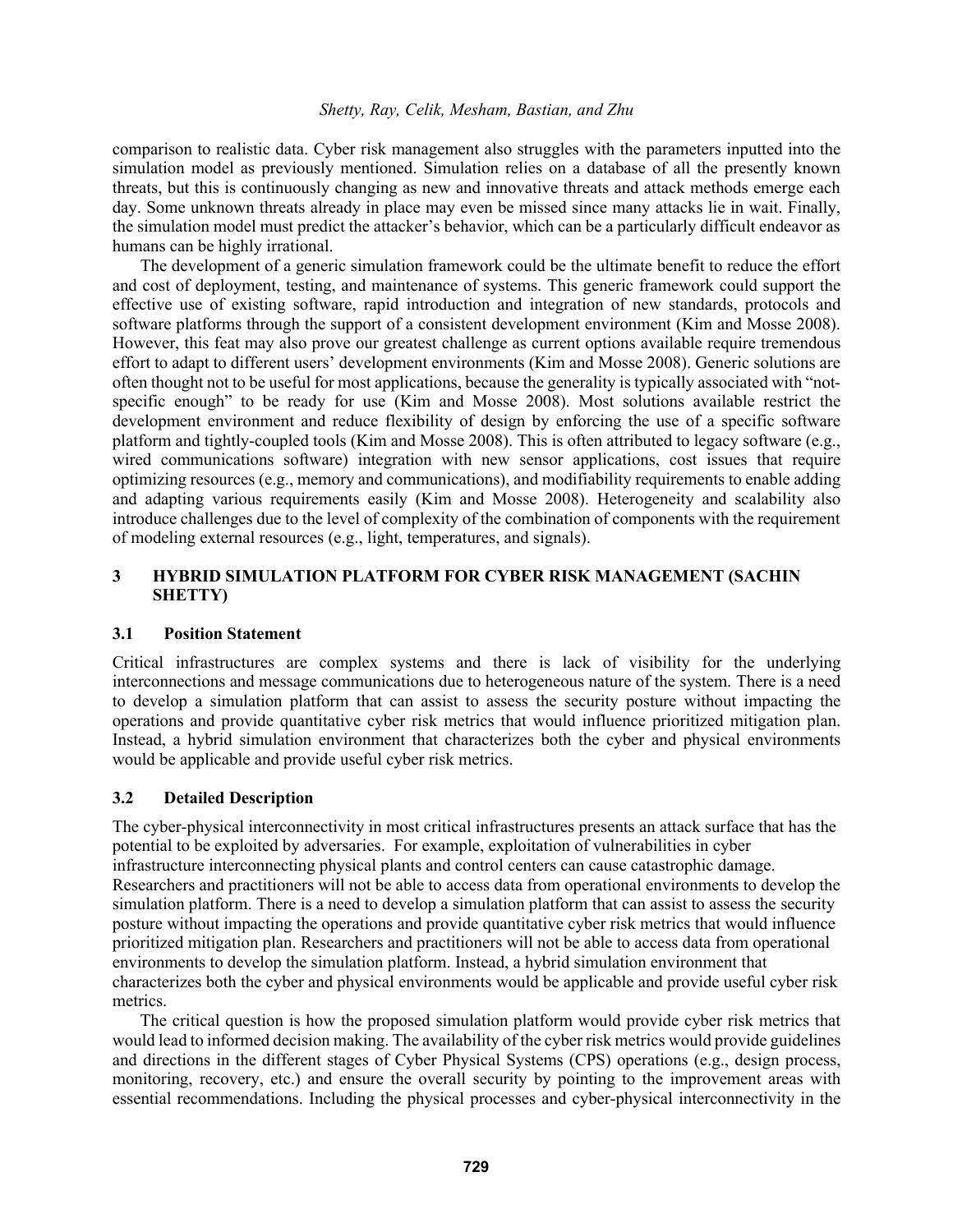comparison to realistic data. Cyber risk management also struggles with the parameters inputted into the simulation model as previously mentioned. Simulation relies on a database of all the presently known threats, but this is continuously changing as new and innovative threats and attack methods emerge each day. Some unknown threats already in place may even be missed since many attacks lie in wait. Finally, the simulation model must predict the attacker's behavior, which can be a particularly difficult endeavor as humans can be highly irrational.

The development of a generic simulation framework could be the ultimate benefit to reduce the effort and cost of deployment, testing, and maintenance of systems. This generic framework could support the effective use of existing software, rapid introduction and integration of new standards, protocols and software platforms through the support of a consistent development environment (Kim and Mosse 2008). However, this feat may also prove our greatest challenge as current options available require tremendous effort to adapt to different users' development environments (Kim and Mosse 2008). Generic solutions are often thought not to be useful for most applications, because the generality is typically associated with "notspecific enough" to be ready for use (Kim and Mosse 2008). Most solutions available restrict the development environment and reduce flexibility of design by enforcing the use of a specific software platform and tightly-coupled tools (Kim and Mosse 2008). This is often attributed to legacy software (e.g., wired communications software) integration with new sensor applications, cost issues that require optimizing resources (e.g., memory and communications), and modifiability requirements to enable adding and adapting various requirements easily (Kim and Mosse 2008). Heterogeneity and scalability also introduce challenges due to the level of complexity of the combination of components with the requirement of modeling external resources (e.g., light, temperatures, and signals).

# **3 HYBRID SIMULATION PLATFORM FOR CYBER RISK MANAGEMENT (SACHIN SHETTY)**

## **3.1 Position Statement**

Critical infrastructures are complex systems and there is lack of visibility for the underlying interconnections and message communications due to heterogeneous nature of the system. There is a need to develop a simulation platform that can assist to assess the security posture without impacting the operations and provide quantitative cyber risk metrics that would influence prioritized mitigation plan. Instead, a hybrid simulation environment that characterizes both the cyber and physical environments would be applicable and provide useful cyber risk metrics.

## **3.2 Detailed Description**

The cyber-physical interconnectivity in most critical infrastructures presents an attack surface that has the potential to be exploited by adversaries. For example, exploitation of vulnerabilities in cyber infrastructure interconnecting physical plants and control centers can cause catastrophic damage. Researchers and practitioners will not be able to access data from operational environments to develop the simulation platform. There is a need to develop a simulation platform that can assist to assess the security posture without impacting the operations and provide quantitative cyber risk metrics that would influence prioritized mitigation plan. Researchers and practitioners will not be able to access data from operational environments to develop the simulation platform. Instead, a hybrid simulation environment that characterizes both the cyber and physical environments would be applicable and provide useful cyber risk metrics.

The critical question is how the proposed simulation platform would provide cyber risk metrics that would lead to informed decision making. The availability of the cyber risk metrics would provide guidelines and directions in the different stages of Cyber Physical Systems (CPS) operations (e.g., design process, monitoring, recovery, etc.) and ensure the overall security by pointing to the improvement areas with essential recommendations. Including the physical processes and cyber-physical interconnectivity in the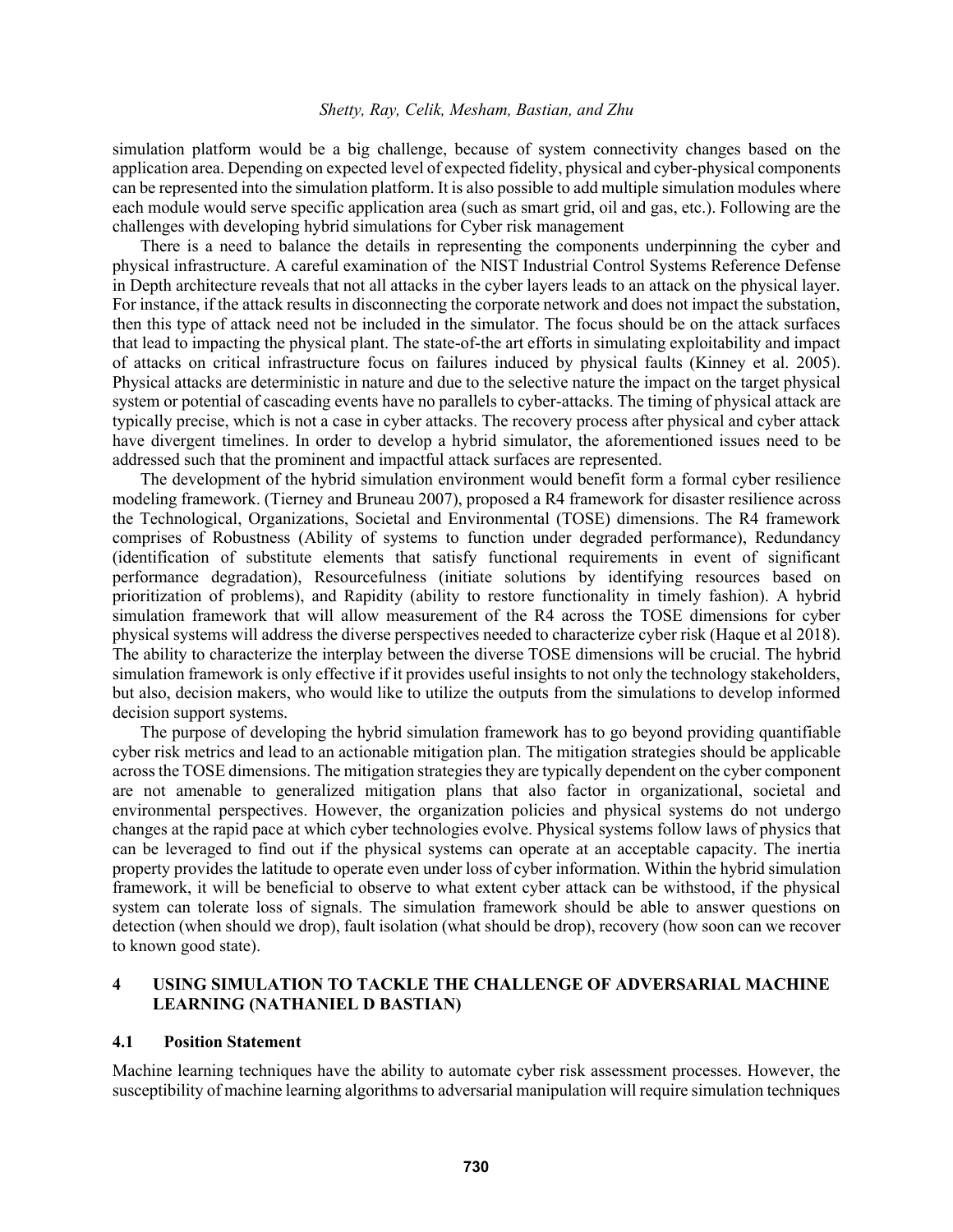simulation platform would be a big challenge, because of system connectivity changes based on the application area. Depending on expected level of expected fidelity, physical and cyber-physical components can be represented into the simulation platform. It is also possible to add multiple simulation modules where each module would serve specific application area (such as smart grid, oil and gas, etc.). Following are the challenges with developing hybrid simulations for Cyber risk management

There is a need to balance the details in representing the components underpinning the cyber and physical infrastructure. A careful examination of the NIST Industrial Control Systems Reference Defense in Depth architecture reveals that not all attacks in the cyber layers leads to an attack on the physical layer. For instance, if the attack results in disconnecting the corporate network and does not impact the substation, then this type of attack need not be included in the simulator. The focus should be on the attack surfaces that lead to impacting the physical plant. The state-of-the art efforts in simulating exploitability and impact of attacks on critical infrastructure focus on failures induced by physical faults (Kinney et al. 2005). Physical attacks are deterministic in nature and due to the selective nature the impact on the target physical system or potential of cascading events have no parallels to cyber-attacks. The timing of physical attack are typically precise, which is not a case in cyber attacks. The recovery process after physical and cyber attack have divergent timelines. In order to develop a hybrid simulator, the aforementioned issues need to be addressed such that the prominent and impactful attack surfaces are represented.

The development of the hybrid simulation environment would benefit form a formal cyber resilience modeling framework. (Tierney and Bruneau 2007), proposed a R4 framework for disaster resilience across the Technological, Organizations, Societal and Environmental (TOSE) dimensions. The R4 framework comprises of Robustness (Ability of systems to function under degraded performance), Redundancy (identification of substitute elements that satisfy functional requirements in event of significant performance degradation), Resourcefulness (initiate solutions by identifying resources based on prioritization of problems), and Rapidity (ability to restore functionality in timely fashion). A hybrid simulation framework that will allow measurement of the R4 across the TOSE dimensions for cyber physical systems will address the diverse perspectives needed to characterize cyber risk (Haque et al 2018). The ability to characterize the interplay between the diverse TOSE dimensions will be crucial. The hybrid simulation framework is only effective if it provides useful insights to not only the technology stakeholders, but also, decision makers, who would like to utilize the outputs from the simulations to develop informed decision support systems.

The purpose of developing the hybrid simulation framework has to go beyond providing quantifiable cyber risk metrics and lead to an actionable mitigation plan. The mitigation strategies should be applicable across the TOSE dimensions. The mitigation strategies they are typically dependent on the cyber component are not amenable to generalized mitigation plans that also factor in organizational, societal and environmental perspectives. However, the organization policies and physical systems do not undergo changes at the rapid pace at which cyber technologies evolve. Physical systems follow laws of physics that can be leveraged to find out if the physical systems can operate at an acceptable capacity. The inertia property provides the latitude to operate even under loss of cyber information. Within the hybrid simulation framework, it will be beneficial to observe to what extent cyber attack can be withstood, if the physical system can tolerate loss of signals. The simulation framework should be able to answer questions on detection (when should we drop), fault isolation (what should be drop), recovery (how soon can we recover to known good state).

## **4 USING SIMULATION TO TACKLE THE CHALLENGE OF ADVERSARIAL MACHINE LEARNING (NATHANIEL D BASTIAN)**

#### **4.1 Position Statement**

Machine learning techniques have the ability to automate cyber risk assessment processes. However, the susceptibility of machine learning algorithms to adversarial manipulation will require simulation techniques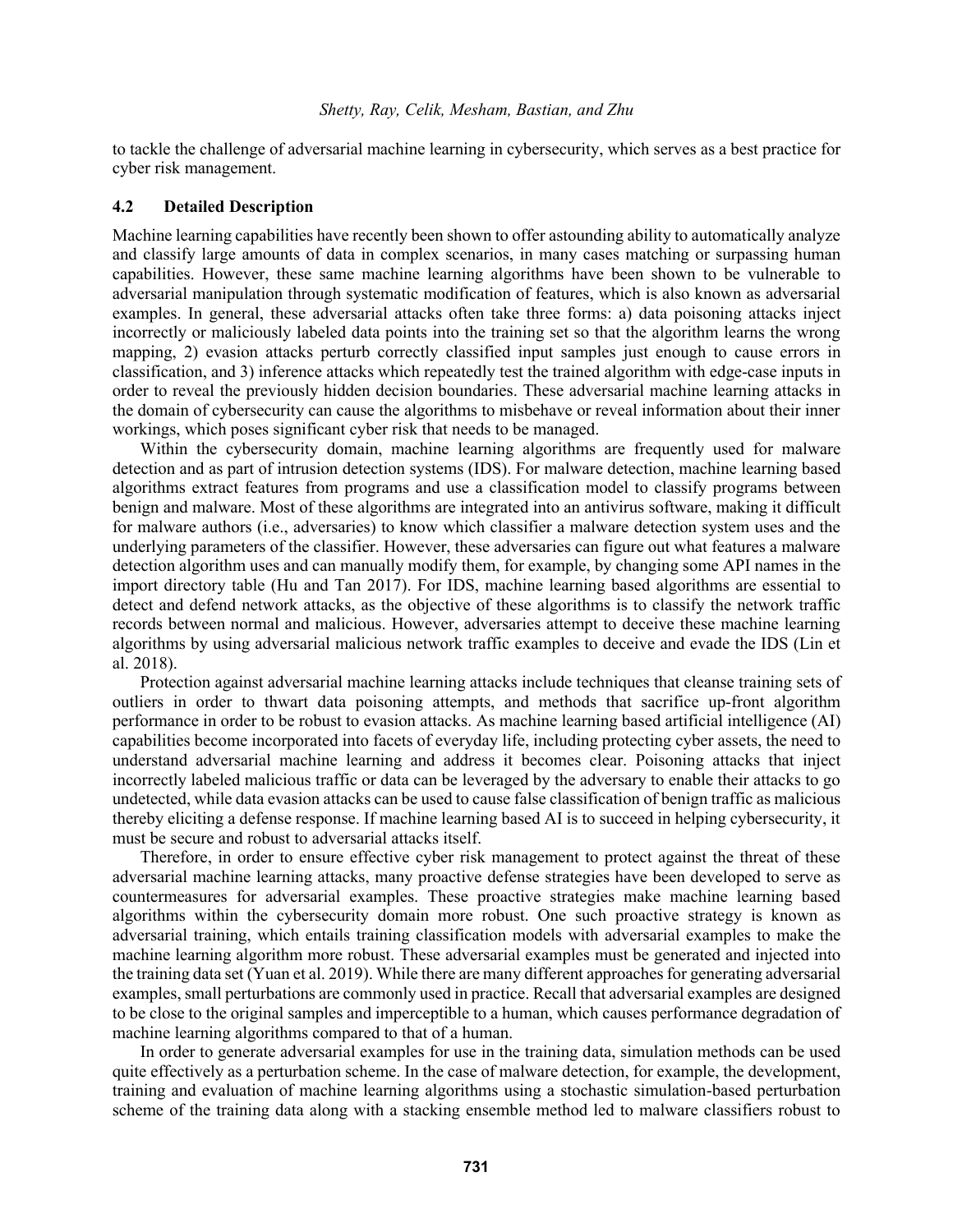to tackle the challenge of adversarial machine learning in cybersecurity, which serves as a best practice for cyber risk management.

## **4.2 Detailed Description**

Machine learning capabilities have recently been shown to offer astounding ability to automatically analyze and classify large amounts of data in complex scenarios, in many cases matching or surpassing human capabilities. However, these same machine learning algorithms have been shown to be vulnerable to adversarial manipulation through systematic modification of features, which is also known as adversarial examples. In general, these adversarial attacks often take three forms: a) data poisoning attacks inject incorrectly or maliciously labeled data points into the training set so that the algorithm learns the wrong mapping, 2) evasion attacks perturb correctly classified input samples just enough to cause errors in classification, and 3) inference attacks which repeatedly test the trained algorithm with edge-case inputs in order to reveal the previously hidden decision boundaries. These adversarial machine learning attacks in the domain of cybersecurity can cause the algorithms to misbehave or reveal information about their inner workings, which poses significant cyber risk that needs to be managed.

Within the cybersecurity domain, machine learning algorithms are frequently used for malware detection and as part of intrusion detection systems (IDS). For malware detection, machine learning based algorithms extract features from programs and use a classification model to classify programs between benign and malware. Most of these algorithms are integrated into an antivirus software, making it difficult for malware authors (i.e., adversaries) to know which classifier a malware detection system uses and the underlying parameters of the classifier. However, these adversaries can figure out what features a malware detection algorithm uses and can manually modify them, for example, by changing some API names in the import directory table (Hu and Tan 2017). For IDS, machine learning based algorithms are essential to detect and defend network attacks, as the objective of these algorithms is to classify the network traffic records between normal and malicious. However, adversaries attempt to deceive these machine learning algorithms by using adversarial malicious network traffic examples to deceive and evade the IDS (Lin et al. 2018).

Protection against adversarial machine learning attacks include techniques that cleanse training sets of outliers in order to thwart data poisoning attempts, and methods that sacrifice up-front algorithm performance in order to be robust to evasion attacks. As machine learning based artificial intelligence (AI) capabilities become incorporated into facets of everyday life, including protecting cyber assets, the need to understand adversarial machine learning and address it becomes clear. Poisoning attacks that inject incorrectly labeled malicious traffic or data can be leveraged by the adversary to enable their attacks to go undetected, while data evasion attacks can be used to cause false classification of benign traffic as malicious thereby eliciting a defense response. If machine learning based AI is to succeed in helping cybersecurity, it must be secure and robust to adversarial attacks itself.

Therefore, in order to ensure effective cyber risk management to protect against the threat of these adversarial machine learning attacks, many proactive defense strategies have been developed to serve as countermeasures for adversarial examples. These proactive strategies make machine learning based algorithms within the cybersecurity domain more robust. One such proactive strategy is known as adversarial training, which entails training classification models with adversarial examples to make the machine learning algorithm more robust. These adversarial examples must be generated and injected into the training data set (Yuan et al. 2019). While there are many different approaches for generating adversarial examples, small perturbations are commonly used in practice. Recall that adversarial examples are designed to be close to the original samples and imperceptible to a human, which causes performance degradation of machine learning algorithms compared to that of a human.

In order to generate adversarial examples for use in the training data, simulation methods can be used quite effectively as a perturbation scheme. In the case of malware detection, for example, the development, training and evaluation of machine learning algorithms using a stochastic simulation-based perturbation scheme of the training data along with a stacking ensemble method led to malware classifiers robust to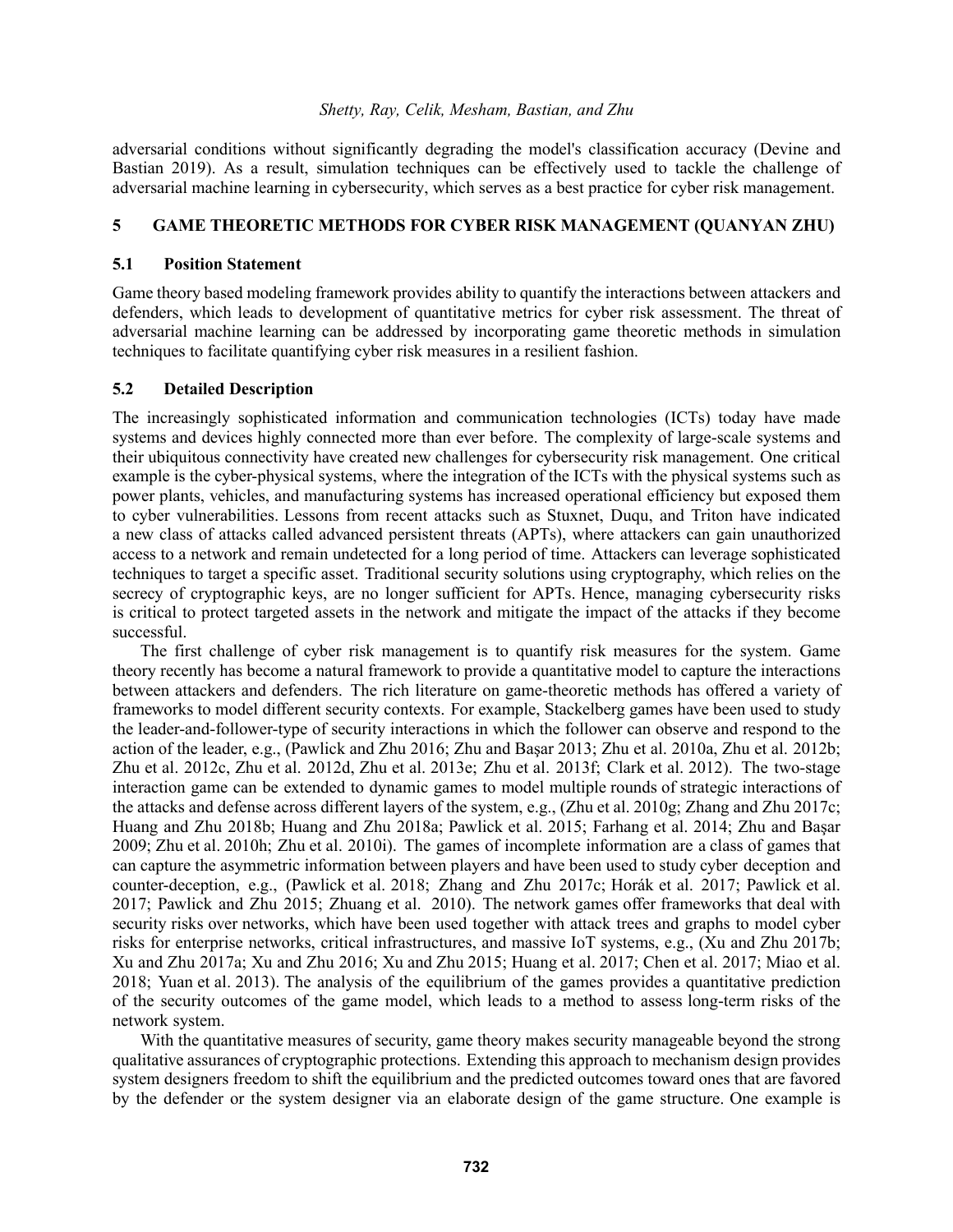adversarial conditions without significantly degrading the model's classification accuracy (Devine and Bastian 2019). As a result, simulation techniques can be effectively used to tackle the challenge of adversarial machine learning in cybersecurity, which serves as a best practice for cyber risk management.

# **5 GAME THEORETIC METHODS FOR CYBER RISK MANAGEMENT (QUANYAN ZHU)**

## **5.1 Position Statement**

Game theory based modeling framework provides ability to quantify the interactions between attackers and defenders, which leads to development of quantitative metrics for cyber risk assessment. The threat of adversarial machine learning can be addressed by incorporating game theoretic methods in simulation techniques to facilitate quantifying cyber risk measures in a resilient fashion.

## **5.2 Detailed Description**

The increasingly sophisticated information and communication technologies (ICTs) today have made systems and devices highly connected more than ever before. The complexity of large-scale systems and their ubiquitous connectivity have created new challenges for cybersecurity risk management. One critical example is the cyber-physical systems, where the integration of the ICTs with the physical systems such as power plants, vehicles, and manufacturing systems has increased operational efficiency but exposed them to cyber vulnerabilities. Lessons from recent attacks such as Stuxnet, Duqu, and Triton have indicated a new class of attacks called advanced persistent threats (APTs), where attackers can gain unauthorized access to a network and remain undetected for a long period of time. Attackers can leverage sophisticated techniques to target a specific asset. Traditional security solutions using cryptography, which relies on the secrecy of cryptographic keys, are no longer sufficient for APTs. Hence, managing cybersecurity risks is critical to protect targeted assets in the network and mitigate the impact of the attacks if they become successful.

The first challenge of cyber risk management is to quantify risk measures for the system. Game theory recently has become a natural framework to provide a quantitative model to capture the interactions between attackers and defenders. The rich literature on game-theoretic methods has offered a variety of frameworks to model different security contexts. For example, Stackelberg games have been used to study the leader-and-follower-type of security interactions in which the follower can observe and respond to the action of the leader, e.g., (Pawlick and Zhu 2016; Zhu and Başar 2013; Zhu et al. 2010a, Zhu et al. 2012b; Zhu et al. 2012c, Zhu et al. 2012d, Zhu et al. 2013e; Zhu et al. 2013f; Clark et al. 2012). The two-stage interaction game can be extended to dynamic games to model multiple rounds of strategic interactions of the attacks and defense across different layers of the system, e.g., (Zhu et al. 2010g; Zhang and Zhu 2017c; Huang and Zhu 2018b; Huang and Zhu 2018a; Pawlick et al. 2015; Farhang et al. 2014; Zhu and Başar 2009; Zhu et al. 2010h; Zhu et al. 2010i). The games of incomplete information are a class of games that can capture the asymmetric information between players and have been used to study cyber deception and counter-deception, e.g., (Pawlick et al. 2018; Zhang and Zhu 2017c; Horák et al. 2017; Pawlick et al. 2017; Pawlick and Zhu 2015; Zhuang et al. 2010). The network games offer frameworks that deal with security risks over networks, which have been used together with attack trees and graphs to model cyber risks for enterprise networks, critical infrastructures, and massive IoT systems, e.g., (Xu and Zhu 2017b; Xu and Zhu 2017a; Xu and Zhu 2016; Xu and Zhu 2015; Huang et al. 2017; Chen et al. 2017; Miao et al. 2018; Yuan et al. 2013). The analysis of the equilibrium of the games provides a quantitative prediction of the security outcomes of the game model, which leads to a method to assess long-term risks of the network system.

With the quantitative measures of security, game theory makes security manageable beyond the strong qualitative assurances of cryptographic protections. Extending this approach to mechanism design provides system designers freedom to shift the equilibrium and the predicted outcomes toward ones that are favored by the defender or the system designer via an elaborate design of the game structure. One example is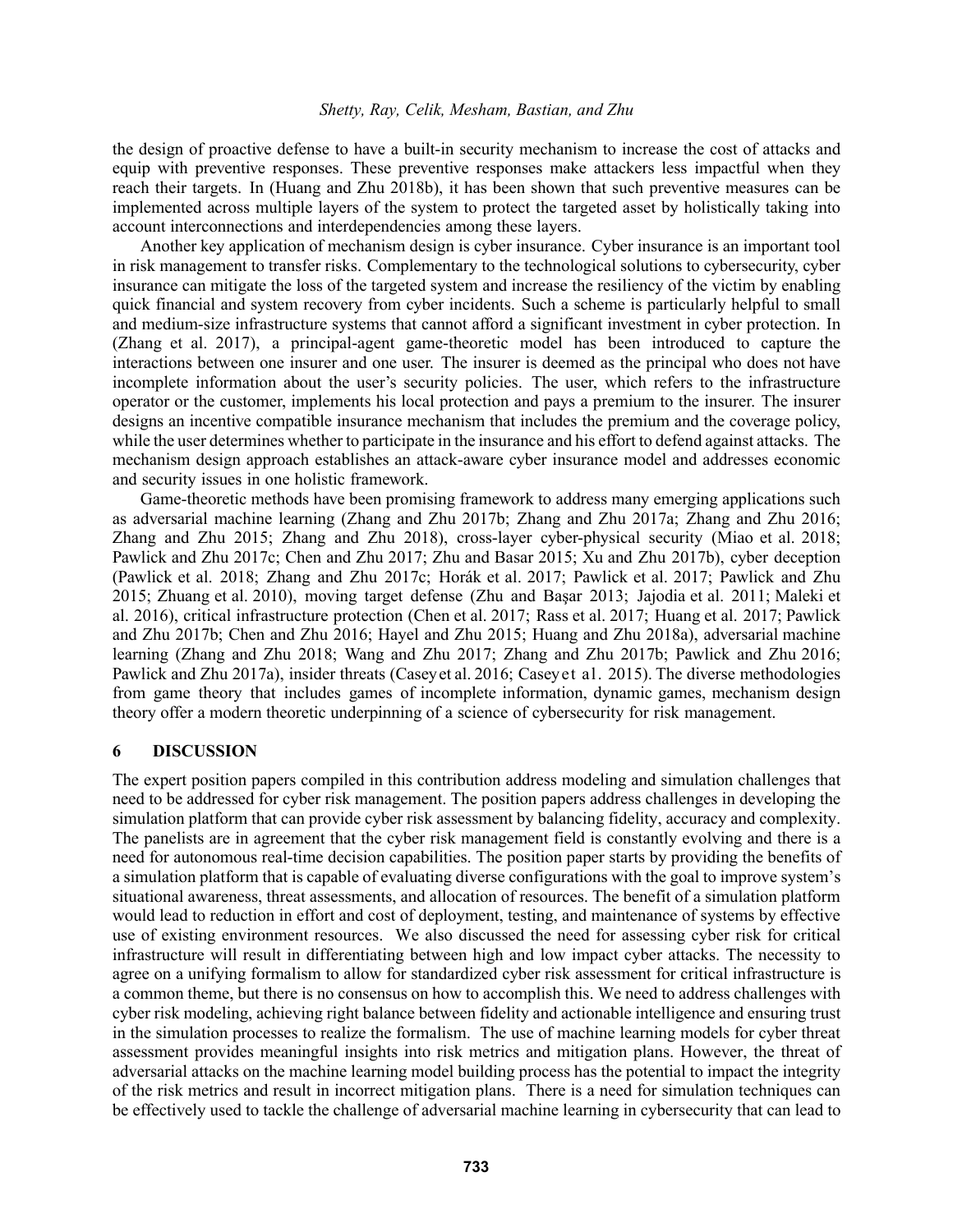the design of proactive defense to have a built-in security mechanism to increase the cost of attacks and equip with preventive responses. These preventive responses make attackers less impactful when they reach their targets. In (Huang and Zhu 2018b), it has been shown that such preventive measures can be implemented across multiple layers of the system to protect the targeted asset by holistically taking into account interconnections and interdependencies among these layers.

Another key application of mechanism design is cyber insurance. Cyber insurance is an important tool in risk management to transfer risks. Complementary to the technological solutions to cybersecurity, cyber insurance can mitigate the loss of the targeted system and increase the resiliency of the victim by enabling quick financial and system recovery from cyber incidents. Such a scheme is particularly helpful to small and medium-size infrastructure systems that cannot afford a significant investment in cyber protection. In (Zhang et al. 2017), a principal-agent game-theoretic model has been introduced to capture the interactions between one insurer and one user. The insurer is deemed as the principal who does not have incomplete information about the user's security policies. The user, which refers to the infrastructure operator or the customer, implements his local protection and pays a premium to the insurer. The insurer designs an incentive compatible insurance mechanism that includes the premium and the coverage policy, while the user determines whether to participate in the insurance and his effort to defend against attacks. The mechanism design approach establishes an attack-aware cyber insurance model and addresses economic and security issues in one holistic framework.

Game-theoretic methods have been promising framework to address many emerging applications such as adversarial machine learning (Zhang and Zhu 2017b; Zhang and Zhu 2017a; Zhang and Zhu 2016; Zhang and Zhu 2015; Zhang and Zhu 2018), cross-layer cyber-physical security (Miao et al. 2018; Pawlick and Zhu 2017c; Chen and Zhu 2017; Zhu and Basar 2015; Xu and Zhu 2017b), cyber deception (Pawlick et al. 2018; Zhang and Zhu 2017c; Horák et al. 2017; Pawlick et al. 2017; Pawlick and Zhu 2015; Zhuang et al. 2010), moving target defense (Zhu and Basar 2013; Jajodia et al. 2011; Maleki et al. 2016), critical infrastructure protection (Chen et al. 2017; Rass et al. 2017; Huang et al. 2017; Pawlick and Zhu 2017b; Chen and Zhu 2016; Hayel and Zhu 2015; Huang and Zhu 2018a), adversarial machine learning (Zhang and Zhu 2018; Wang and Zhu 2017; Zhang and Zhu 2017b; Pawlick and Zhu 2016; Pawlick and Zhu 2017a), insider threats (Caseyet al. 2016; Caseyet al. 2015). The diverse methodologies from game theory that includes games of incomplete information, dynamic games, mechanism design theory offer a modern theoretic underpinning of a science of cybersecurity for risk management.

### **6 DISCUSSION**

The expert position papers compiled in this contribution address modeling and simulation challenges that need to be addressed for cyber risk management. The position papers address challenges in developing the simulation platform that can provide cyber risk assessment by balancing fidelity, accuracy and complexity. The panelists are in agreement that the cyber risk management field is constantly evolving and there is a need for autonomous real-time decision capabilities. The position paper starts by providing the benefits of a simulation platform that is capable of evaluating diverse configurations with the goal to improve system's situational awareness, threat assessments, and allocation of resources. The benefit of a simulation platform would lead to reduction in effort and cost of deployment, testing, and maintenance of systems by effective use of existing environment resources. We also discussed the need for assessing cyber risk for critical infrastructure will result in differentiating between high and low impact cyber attacks. The necessity to agree on a unifying formalism to allow for standardized cyber risk assessment for critical infrastructure is a common theme, but there is no consensus on how to accomplish this. We need to address challenges with cyber risk modeling, achieving right balance between fidelity and actionable intelligence and ensuring trust in the simulation processes to realize the formalism. The use of machine learning models for cyber threat assessment provides meaningful insights into risk metrics and mitigation plans. However, the threat of adversarial attacks on the machine learning model building process has the potential to impact the integrity of the risk metrics and result in incorrect mitigation plans. There is a need for simulation techniques can be effectively used to tackle the challenge of adversarial machine learning in cybersecurity that can lead to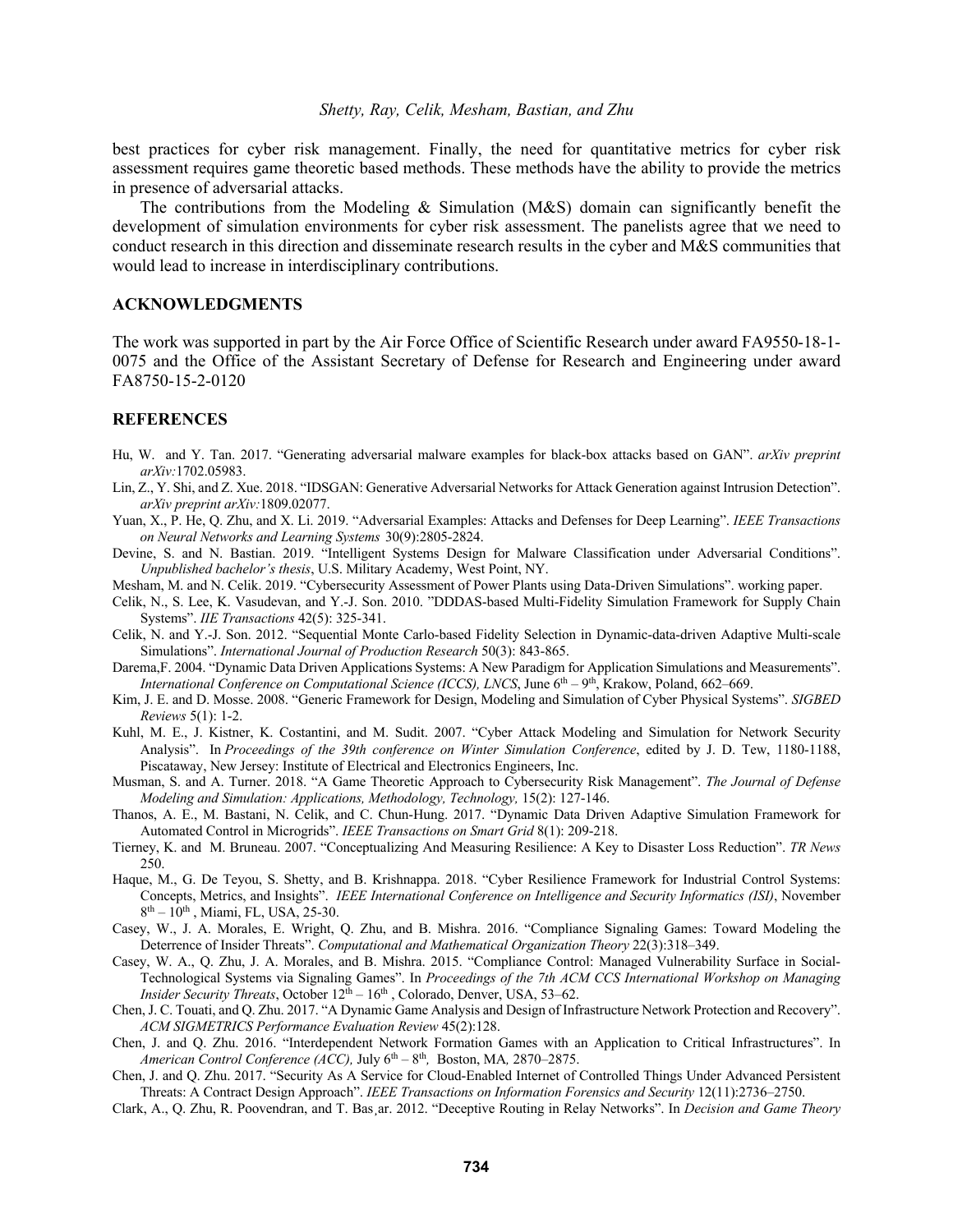best practices for cyber risk management. Finally, the need for quantitative metrics for cyber risk assessment requires game theoretic based methods. These methods have the ability to provide the metrics in presence of adversarial attacks.

The contributions from the Modeling & Simulation (M&S) domain can significantly benefit the development of simulation environments for cyber risk assessment. The panelists agree that we need to conduct research in this direction and disseminate research results in the cyber and M&S communities that would lead to increase in interdisciplinary contributions.

#### **ACKNOWLEDGMENTS**

The work was supported in part by the Air Force Office of Scientific Research under award FA9550-18-1- 0075 and the Office of the Assistant Secretary of Defense for Research and Engineering under award FA8750-15-2-0120

### **REFERENCES**

- Hu, W. and Y. Tan. 2017. "Generating adversarial malware examples for black-box attacks based on GAN". *arXiv preprint arXiv:*1702.05983.
- Lin, Z., Y. Shi, and Z. Xue. 2018. "IDSGAN: Generative Adversarial Networks for Attack Generation against Intrusion Detection". *arXiv preprint arXiv:*1809.02077.
- Yuan, X., P. He, Q. Zhu, and X. Li. 2019. "Adversarial Examples: Attacks and Defenses for Deep Learning". *IEEE Transactions on Neural Networks and Learning Systems* 30(9):2805-2824.
- Devine, S. and N. Bastian. 2019. "Intelligent Systems Design for Malware Classification under Adversarial Conditions". *Unpublished bachelor's thesis*, U.S. Military Academy, West Point, NY.
- Mesham, M. and N. Celik. 2019. "Cybersecurity Assessment of Power Plants using Data-Driven Simulations". working paper.
- Celik, N., S. Lee, K. Vasudevan, and Y.-J. Son. 2010. "DDDAS-based Multi-Fidelity Simulation Framework for Supply Chain Systems". *IIE Transactions* 42(5): 325-341.
- Celik, N. and Y.-J. Son. 2012. "Sequential Monte Carlo-based Fidelity Selection in Dynamic-data-driven Adaptive Multi-scale Simulations". *International Journal of Production Research* 50(3): 843-865.
- Darema,F. 2004. "Dynamic Data Driven Applications Systems: A New Paradigm for Application Simulations and Measurements". *International Conference on Computational Science (ICCS), LNCS*, June 6th – 9th, Krakow, Poland, 662–669.
- Kim, J. E. and D. Mosse. 2008. "Generic Framework for Design, Modeling and Simulation of Cyber Physical Systems". *SIGBED Reviews* 5(1): 1-2.
- Kuhl, M. E., J. Kistner, K. Costantini, and M. Sudit. 2007. "Cyber Attack Modeling and Simulation for Network Security Analysis". In *Proceedings of the 39th conference on Winter Simulation Conference*, edited by J. D. Tew, 1180-1188, Piscataway, New Jersey: Institute of Electrical and Electronics Engineers, Inc.
- Musman, S. and A. Turner. 2018. "A Game Theoretic Approach to Cybersecurity Risk Management". *The Journal of Defense Modeling and Simulation: Applications, Methodology, Technology,* 15(2): 127-146.
- Thanos, A. E., M. Bastani, N. Celik, and C. Chun-Hung. 2017. "Dynamic Data Driven Adaptive Simulation Framework for Automated Control in Microgrids". *IEEE Transactions on Smart Grid* 8(1): 209-218.
- Tierney, K. and M. Bruneau. 2007. "Conceptualizing And Measuring Resilience: A Key to Disaster Loss Reduction". *TR News* 250.
- Haque, M., G. De Teyou, S. Shetty, and B. Krishnappa. 2018. "Cyber Resilience Framework for Industrial Control Systems: Concepts, Metrics, and Insights". *IEEE International Conference on Intelligence and Security Informatics (ISI)*, November  $8<sup>th</sup> - 10<sup>th</sup>$ , Miami, FL, USA, 25-30.
- Casey, W., J. A. Morales, E. Wright, Q. Zhu, and B. Mishra. 2016. "Compliance Signaling Games: Toward Modeling the Deterrence of Insider Threats". *Computational and Mathematical Organization Theory* 22(3):318–349.
- Casey, W. A., Q. Zhu, J. A. Morales, and B. Mishra. 2015. "Compliance Control: Managed Vulnerability Surface in Social-Technological Systems via Signaling Games". In *Proceedings of the 7th ACM CCS International Workshop on Managing Insider Security Threats*, October  $12<sup>th</sup> - 16<sup>th</sup>$ , Colorado, Denver, USA, 53–62.
- Chen, J. C. Touati, and Q. Zhu. 2017. "A Dynamic Game Analysis and Design of Infrastructure Network Protection and Recovery". *ACM SIGMETRICS Performance Evaluation Review* 45(2):128.
- Chen, J. and Q. Zhu. 2016. "Interdependent Network Formation Games with an Application to Critical Infrastructures". In *American Control Conference (ACC),* July 6th – 8th*,* Boston, MA*,* 2870–2875.
- Chen, J. and Q. Zhu. 2017. "Security As A Service for Cloud-Enabled Internet of Controlled Things Under Advanced Persistent Threats: A Contract Design Approach". *IEEE Transactions on Information Forensics and Security* 12(11):2736–2750.
- Clark, A., Q. Zhu, R. Poovendran, and T. Bas¸ar. 2012. "Deceptive Routing in Relay Networks". In *Decision and Game Theory*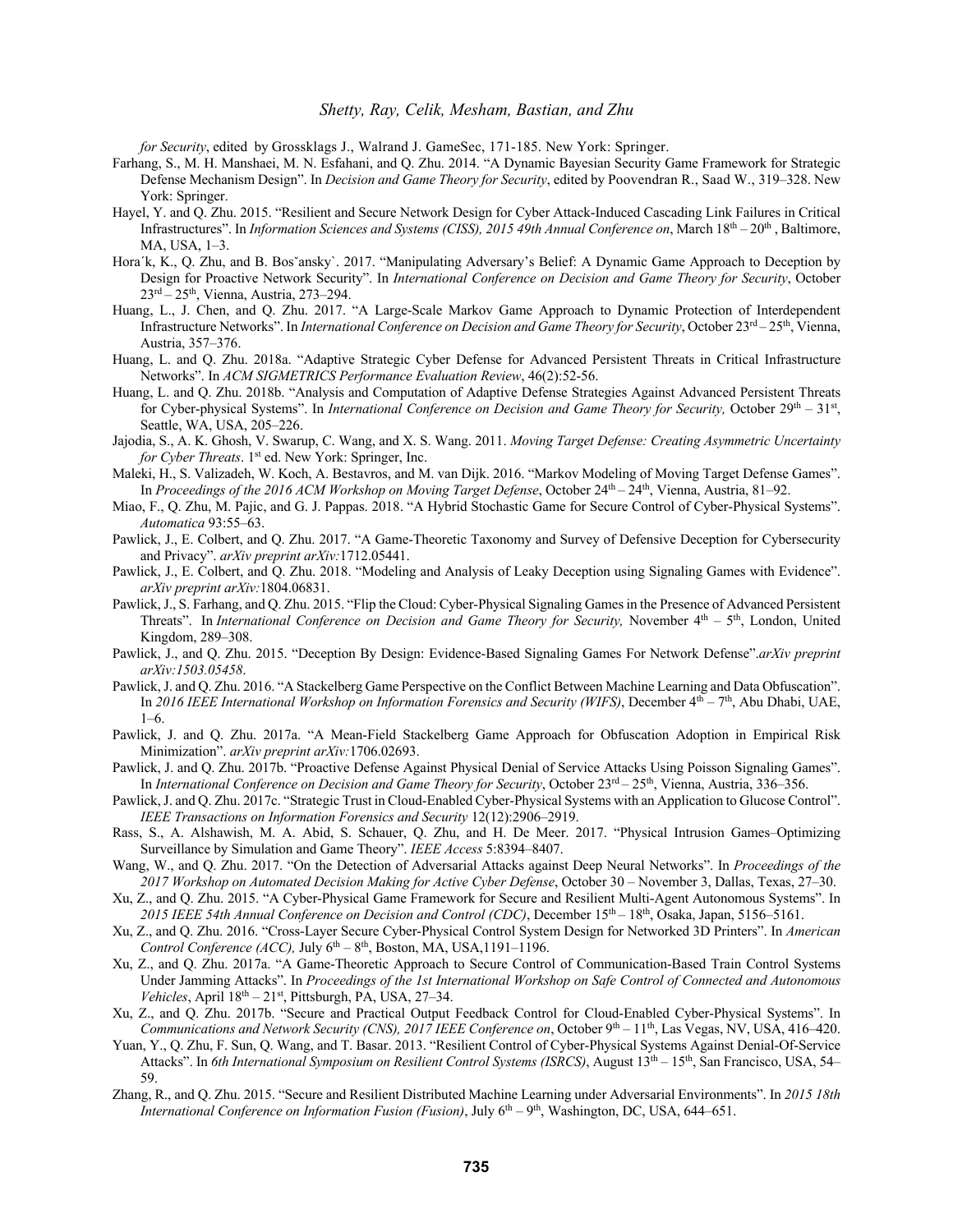*for Security*, edited by Grossklags J., Walrand J. GameSec, 171-185. New York: Springer.

- Farhang, S., M. H. Manshaei, M. N. Esfahani, and Q. Zhu. 2014. "A Dynamic Bayesian Security Game Framework for Strategic Defense Mechanism Design". In *Decision and Game Theory for Security*, edited by Poovendran R., Saad W., 319–328. New York: Springer.
- Hayel, Y. and Q. Zhu. 2015. "Resilient and Secure Network Design for Cyber Attack-Induced Cascading Link Failures in Critical Infrastructures". In *Information Sciences and Systems (CISS), 2015 49th Annual Conference on*, March 18<sup>th</sup> – 20<sup>th</sup>, Baltimore, MA, USA, 1–3.
- Hora'k, K., Q. Zhu, and B. Bos'ansky'. 2017. "Manipulating Adversary's Belief: A Dynamic Game Approach to Deception by Design for Proactive Network Security". In *International Conference on Decision and Game Theory for Security*, October 23rd – 25th, Vienna, Austria, 273–294.
- Huang, L., J. Chen, and Q. Zhu. 2017. "A Large-Scale Markov Game Approach to Dynamic Protection of Interdependent Infrastructure Networks". In *International Conference on Decision and Game Theory for Security*, October 23<sup>rd</sup> – 25<sup>th</sup>, Vienna, Austria, 357–376.
- Huang, L. and Q. Zhu. 2018a. "Adaptive Strategic Cyber Defense for Advanced Persistent Threats in Critical Infrastructure Networks". In *ACM SIGMETRICS Performance Evaluation Review*, 46(2):52-56.
- Huang, L. and Q. Zhu. 2018b. "Analysis and Computation of Adaptive Defense Strategies Against Advanced Persistent Threats for Cyber-physical Systems". In *International Conference on Decision and Game Theory for Security*, October 29<sup>th</sup> – 31<sup>st</sup>, Seattle, WA, USA, 205–226.
- Jajodia, S., A. K. Ghosh, V. Swarup, C. Wang, and X. S. Wang. 2011. *Moving Target Defense: Creating Asymmetric Uncertainty for Cyber Threats*. 1<sup>st</sup> ed. New York: Springer, Inc.
- Maleki, H., S. Valizadeh, W. Koch, A. Bestavros, and M. van Dijk. 2016. "Markov Modeling of Moving Target Defense Games". In *Proceedings of the 2016 ACM Workshop on Moving Target Defense*, October 24<sup>th</sup> – 24<sup>th</sup>, Vienna, Austria, 81–92.
- Miao, F., Q. Zhu, M. Pajic, and G. J. Pappas. 2018. "A Hybrid Stochastic Game for Secure Control of Cyber-Physical Systems". *Automatica* 93:55–63.
- Pawlick, J., E. Colbert, and Q. Zhu. 2017. "A Game-Theoretic Taxonomy and Survey of Defensive Deception for Cybersecurity and Privacy". *arXiv preprint arXiv:*1712.05441.
- Pawlick, J., E. Colbert, and Q. Zhu. 2018. "Modeling and Analysis of Leaky Deception using Signaling Games with Evidence". *arXiv preprint arXiv:*1804.06831.
- Pawlick, J., S. Farhang, and Q. Zhu. 2015. "Flip the Cloud: Cyber-Physical Signaling Games in the Presence of Advanced Persistent Threats". In *International Conference on Decision and Game Theory for Security*, November  $4<sup>th</sup> - 5<sup>th</sup>$ , London, United Kingdom, 289–308.
- Pawlick, J., and Q. Zhu. 2015. "Deception By Design: Evidence-Based Signaling Games For Network Defense".*arXiv preprint arXiv:1503.05458*.
- Pawlick, J. and Q. Zhu. 2016. "A Stackelberg Game Perspective on the Conflict Between Machine Learning and Data Obfuscation". In *2016 IEEE International Workshop on Information Forensics and Security (WIFS)*, December 4th – 7th, Abu Dhabi, UAE,  $1-6.$
- Pawlick, J. and Q. Zhu. 2017a. "A Mean-Field Stackelberg Game Approach for Obfuscation Adoption in Empirical Risk Minimization". *arXiv preprint arXiv:*1706.02693.
- Pawlick, J. and Q. Zhu. 2017b. "Proactive Defense Against Physical Denial of Service Attacks Using Poisson Signaling Games". In *International Conference on Decision and Game Theory for Security*, October 23<sup>rd</sup> – 25<sup>th</sup>, Vienna, Austria, 336–356.
- Pawlick, J. and Q. Zhu. 2017c. "Strategic Trust in Cloud-Enabled Cyber-Physical Systems with an Application to Glucose Control". *IEEE Transactions on Information Forensics and Security* 12(12):2906–2919.
- Rass, S., A. Alshawish, M. A. Abid, S. Schauer, Q. Zhu, and H. De Meer. 2017. "Physical Intrusion Games–Optimizing Surveillance by Simulation and Game Theory". *IEEE Access* 5:8394–8407.
- Wang, W., and Q. Zhu. 2017. "On the Detection of Adversarial Attacks against Deep Neural Networks". In *Proceedings of the 2017 Workshop on Automated Decision Making for Active Cyber Defense*, October 30 – November 3, Dallas, Texas, 27–30.
- Xu, Z., and Q. Zhu. 2015. "A Cyber-Physical Game Framework for Secure and Resilient Multi-Agent Autonomous Systems". In *2015 IEEE 54th Annual Conference on Decision and Control (CDC)*, December 15th – 18th, Osaka, Japan, 5156–5161.
- Xu, Z., and Q. Zhu. 2016. "Cross-Layer Secure Cyber-Physical Control System Design for Networked 3D Printers". In *American Control Conference (ACC), July*  $6<sup>th</sup> – 8<sup>th</sup>$ , Boston, MA, USA, 1191–1196.
- Xu, Z., and Q. Zhu. 2017a. "A Game-Theoretic Approach to Secure Control of Communication-Based Train Control Systems Under Jamming Attacks". In *Proceedings of the 1st International Workshop on Safe Control of Connected and Autonomous Vehicles*, April  $18<sup>th</sup> - 21<sup>st</sup>$ , Pittsburgh, PA, USA, 27–34.
- Xu, Z., and Q. Zhu. 2017b. "Secure and Practical Output Feedback Control for Cloud-Enabled Cyber-Physical Systems". In *Communications and Network Security (CNS), 2017 IEEE Conference on*, October 9th – 11th, Las Vegas, NV, USA, 416–420.
- Yuan, Y., Q. Zhu, F. Sun, Q. Wang, and T. Basar. 2013. "Resilient Control of Cyber-Physical Systems Against Denial-Of-Service Attacks". In *6th International Symposium on Resilient Control Systems (ISRCS)*, August 13th – 15th, San Francisco, USA, 54– 59.
- Zhang, R., and Q. Zhu. 2015. "Secure and Resilient Distributed Machine Learning under Adversarial Environments". In *2015 18th International Conference on Information Fusion (Fusion)*, July 6th – 9th, Washington, DC, USA, 644–651.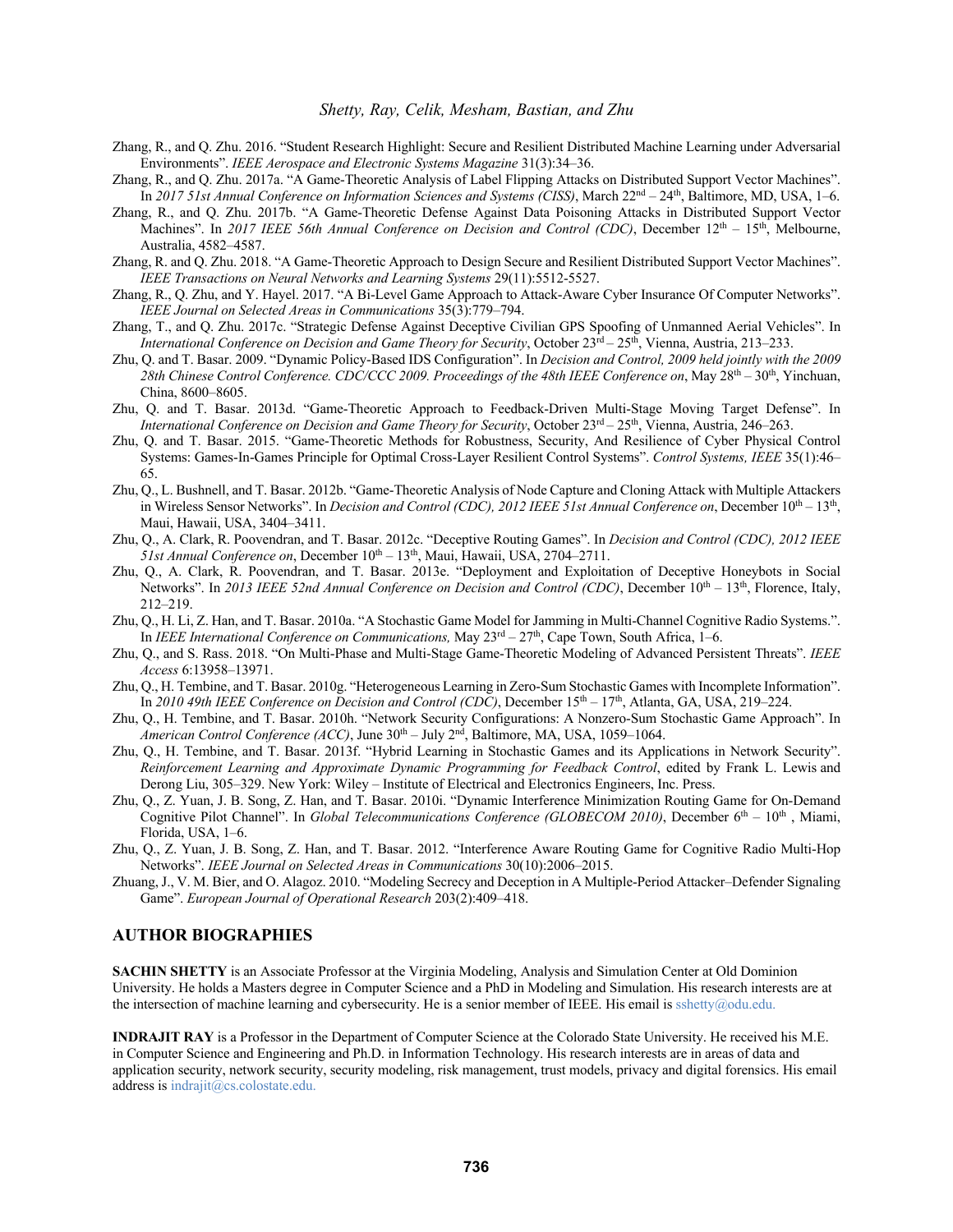- Zhang, R., and Q. Zhu. 2016. "Student Research Highlight: Secure and Resilient Distributed Machine Learning under Adversarial Environments". *IEEE Aerospace and Electronic Systems Magazine* 31(3):34–36.
- Zhang, R., and Q. Zhu. 2017a. "A Game-Theoretic Analysis of Label Flipping Attacks on Distributed Support Vector Machines". In *2017 51st Annual Conference on Information Sciences and Systems (CISS)*, March 22nd – 24th, Baltimore, MD, USA, 1–6.
- Zhang, R., and Q. Zhu. 2017b. "A Game-Theoretic Defense Against Data Poisoning Attacks in Distributed Support Vector Machines". In 2017 IEEE 56th Annual Conference on Decision and Control (CDC), December 12<sup>th</sup> – 15<sup>th</sup>, Melbourne, Australia, 4582–4587.
- Zhang, R. and Q. Zhu. 2018. "A Game-Theoretic Approach to Design Secure and Resilient Distributed Support Vector Machines". *IEEE Transactions on Neural Networks and Learning Systems* 29(11):5512-5527.
- Zhang, R., Q. Zhu, and Y. Hayel. 2017. "A Bi-Level Game Approach to Attack-Aware Cyber Insurance Of Computer Networks". *IEEE Journal on Selected Areas in Communications* 35(3):779–794.
- Zhang, T., and Q. Zhu. 2017c. "Strategic Defense Against Deceptive Civilian GPS Spoofing of Unmanned Aerial Vehicles". In *International Conference on Decision and Game Theory for Security*, October 23<sup>rd</sup> – 25<sup>th</sup>, Vienna, Austria, 213–233.
- Zhu, Q. and T. Basar. 2009. "Dynamic Policy-Based IDS Configuration". In *Decision and Control, 2009 held jointly with the 2009*  28th Chinese Control Conference. CDC/CCC 2009. Proceedings of the 48th IEEE Conference on, May 28<sup>th</sup> – 30<sup>th</sup>, Yinchuan, China, 8600–8605.
- Zhu, Q. and T. Basar. 2013d. "Game-Theoretic Approach to Feedback-Driven Multi-Stage Moving Target Defense". In *International Conference on Decision and Game Theory for Security*, October 23<sup>rd</sup> – 25<sup>th</sup>, Vienna, Austria, 246–263.
- Zhu, Q. and T. Basar. 2015. "Game-Theoretic Methods for Robustness, Security, And Resilience of Cyber Physical Control Systems: Games-In-Games Principle for Optimal Cross-Layer Resilient Control Systems". *Control Systems, IEEE* 35(1):46– 65.
- Zhu, Q., L. Bushnell, and T. Basar. 2012b. "Game-Theoretic Analysis of Node Capture and Cloning Attack with Multiple Attackers in Wireless Sensor Networks". In *Decision and Control (CDC), 2012 IEEE 51st Annual Conference on*, December  $10^{th} - 13^{th}$ , Maui, Hawaii, USA, 3404–3411.
- Zhu, Q., A. Clark, R. Poovendran, and T. Basar. 2012c. "Deceptive Routing Games". In *Decision and Control (CDC), 2012 IEEE*   $51st$  *Annual Conference on*, December  $10^{th} - 13^{th}$ , Maui, Hawaii, USA, 2704–2711.
- Zhu, Q., A. Clark, R. Poovendran, and T. Basar. 2013e. "Deployment and Exploitation of Deceptive Honeybots in Social Networks". In 2013 IEEE 52nd Annual Conference on Decision and Control (CDC), December 10<sup>th</sup> – 13<sup>th</sup>, Florence, Italy, 212–219.
- Zhu, Q., H. Li, Z. Han, and T. Basar. 2010a. "A Stochastic Game Model for Jamming in Multi-Channel Cognitive Radio Systems.". In *IEEE International Conference on Communications*, May  $23<sup>rd</sup> - 27<sup>th</sup>$ , Cape Town, South Africa, 1–6.
- Zhu, Q., and S. Rass. 2018. "On Multi-Phase and Multi-Stage Game-Theoretic Modeling of Advanced Persistent Threats". *IEEE Access* 6:13958–13971.
- Zhu, Q., H. Tembine, and T. Basar. 2010g. "Heterogeneous Learning in Zero-Sum Stochastic Games with Incomplete Information". In *2010 49th IEEE Conference on Decision and Control (CDC)*, December 15th – 17th, Atlanta, GA, USA, 219–224.
- Zhu, Q., H. Tembine, and T. Basar. 2010h. "Network Security Configurations: A Nonzero-Sum Stochastic Game Approach". In *American Control Conference (ACC)*, June 30th – July 2nd, Baltimore, MA, USA, 1059–1064.
- Zhu, Q., H. Tembine, and T. Basar. 2013f. "Hybrid Learning in Stochastic Games and its Applications in Network Security". *Reinforcement Learning and Approximate Dynamic Programming for Feedback Control*, edited by Frank L. Lewis and Derong Liu, 305–329. New York: Wiley – Institute of Electrical and Electronics Engineers, Inc. Press.
- Zhu, Q., Z. Yuan, J. B. Song, Z. Han, and T. Basar. 2010i. "Dynamic Interference Minimization Routing Game for On-Demand Cognitive Pilot Channel". In *Global Telecommunications Conference (GLOBECOM 2010)*, December 6<sup>th</sup> – 10<sup>th</sup>, Miami, Florida, USA, 1–6.
- Zhu, Q., Z. Yuan, J. B. Song, Z. Han, and T. Basar. 2012. "Interference Aware Routing Game for Cognitive Radio Multi-Hop Networks". *IEEE Journal on Selected Areas in Communications* 30(10):2006–2015.
- Zhuang, J., V. M. Bier, and O. Alagoz. 2010. "Modeling Secrecy and Deception in A Multiple-Period Attacker–Defender Signaling Game". *European Journal of Operational Research* 203(2):409–418.

### **AUTHOR BIOGRAPHIES**

**SACHIN SHETTY** is an Associate Professor at the Virginia Modeling, Analysis and Simulation Center at Old Dominion University. He holds a Masters degree in Computer Science and a PhD in Modeling and Simulation. His research interests are at the intersection of machine learning and cybersecurity. He is a senior member of IEEE. His email is sshetty@odu.edu.

**INDRAJIT RAY** is a Professor in the Department of Computer Science at the Colorado State University. He received his M.E. in Computer Science and Engineering and Ph.D. in Information Technology. His research interests are in areas of data and application security, network security, security modeling, risk management, trust models, privacy and digital forensics. His email address is indrajit@cs.colostate.edu.